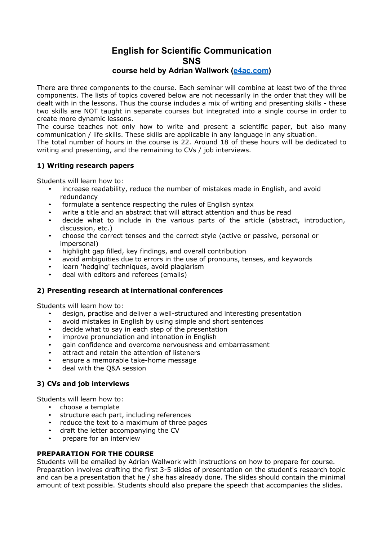# **English for Scientific Communication SNS**

### **course held by Adrian Wallwork (e4ac.com)**

There are three components to the course. Each seminar will combine at least two of the three components. The lists of topics covered below are not necessarily in the order that they will be dealt with in the lessons. Thus the course includes a mix of writing and presenting skills - these two skills are NOT taught in separate courses but integrated into a single course in order to create more dynamic lessons.

The course teaches not only how to write and present a scientific paper, but also many communication / life skills. These skills are applicable in any language in any situation.

The total number of hours in the course is 22. Around 18 of these hours will be dedicated to writing and presenting, and the remaining to CVs / job interviews.

#### **1) Writing research papers**

Students will learn how to:

- increase readability, reduce the number of mistakes made in English, and avoid redundancy
- formulate a sentence respecting the rules of English syntax
- write a title and an abstract that will attract attention and thus be read
- decide what to include in the various parts of the article (abstract, introduction, discussion, etc.)
- choose the correct tenses and the correct style (active or passive, personal or impersonal)
- highlight gap filled, key findings, and overall contribution
- avoid ambiguities due to errors in the use of pronouns, tenses, and keywords
- learn 'hedging' techniques, avoid plagiarism
- deal with editors and referees (emails)

#### **2) Presenting research at international conferences**

Students will learn how to:

- design, practise and deliver a well-structured and interesting presentation
- avoid mistakes in English by using simple and short sentences
- decide what to say in each step of the presentation
- improve pronunciation and intonation in English
- gain confidence and overcome nervousness and embarrassment
- attract and retain the attention of listeners
- ensure a memorable take-home message
- deal with the Q&A session

#### **3) CVs and job interviews**

Students will learn how to:

- choose a template
- structure each part, including references
- reduce the text to a maximum of three pages
- draft the letter accompanying the CV
- prepare for an interview

#### **PREPARATION FOR THE COURSE**

Students will be emailed by Adrian Wallwork with instructions on how to prepare for course. Preparation involves drafting the first 3-5 slides of presentation on the student's research topic and can be a presentation that he / she has already done. The slides should contain the minimal amount of text possible. Students should also prepare the speech that accompanies the slides.